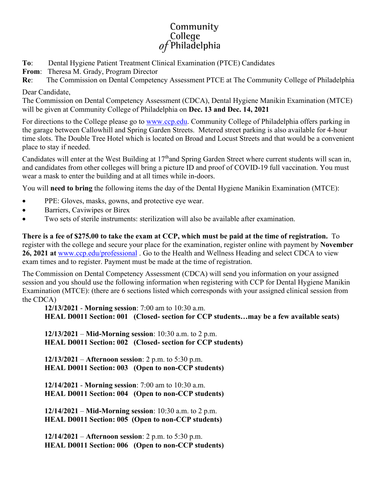## Community College  $of$ Philadelphia

- **To**: Dental Hygiene Patient Treatment Clinical Examination (PTCE) Candidates
- **From**: Theresa M. Grady, Program Director
- **Re**: The Commission on Dental Competency Assessment PTCE at The Community College of Philadelphia

## Dear Candidate,

The Commission on Dental Competency Assessment (CDCA), Dental Hygiene Manikin Examination (MTCE) will be given at Community College of Philadelphia on **Dec. 13 and Dec. 14, 2021**

For directions to the College please go to [www.ccp.edu.](http://www.ccp.edu/) Community College of Philadelphia offers parking in the garage between Callowhill and Spring Garden Streets. Metered street parking is also available for 4-hour time slots. The Double Tree Hotel which is located on Broad and Locust Streets and that would be a convenient place to stay if needed.

Candidates will enter at the West Building at 17<sup>th</sup>and Spring Garden Street where current students will scan in, and candidates from other colleges will bring a picture ID and proof of COVID-19 full vaccination. You must wear a mask to enter the building and at all times while in-doors.

You will **need to bring** the following items the day of the Dental Hygiene Manikin Examination (MTCE):

- PPE: Gloves, masks, gowns, and protective eye wear.
- Barriers, Caviwipes or Birex
- Two sets of sterile instruments: sterilization will also be available after examination.

**There is a fee of \$275.00 to take the exam at CCP, which must be paid at the time of registration.** To register with the college and secure your place for the examination, register online with payment by **November 26, 2021 at** [www.ccp.edu/professional](http://www.ccp.edu/professional) . Go to the Health and Wellness Heading and select CDCA to view exam times and to register. Payment must be made at the time of registration.

The Commission on Dental Competency Assessment (CDCA) will send you information on your assigned session and you should use the following information when registering with CCP for Dental Hygiene Manikin Examination (MTCE): (there are 6 sections listed which corresponds with your assigned clinical session from the CDCA)

**12/13/2021** - **Morning session**: 7:00 am to 10:30 a.m. **HEAL D0011 Section: 001 (Closed- section for CCP students…may be a few available seats)**

**12/13/2021** – **Mid-Morning session**: 10:30 a.m. to 2 p.m. **HEAL D0011 Section: 002 (Closed- section for CCP students)**

**12/13/2021** – **Afternoon session**: 2 p.m. to 5:30 p.m. **HEAL D0011 Section: 003 (Open to non-CCP students)**

**12/14/2021** - **Morning session**: 7:00 am to 10:30 a.m. **HEAL D0011 Section: 004 (Open to non-CCP students)**

**12/14/2021** – **Mid-Morning session**: 10:30 a.m. to 2 p.m. **HEAL D0011 Section: 005 (Open to non-CCP students)**

**12/14/2021** – **Afternoon session**: 2 p.m. to 5:30 p.m. **HEAL D0011 Section: 006 (Open to non-CCP students)**